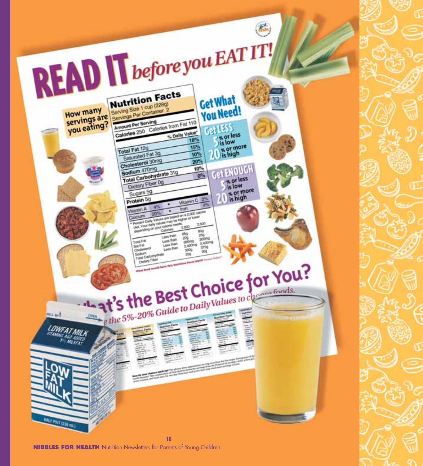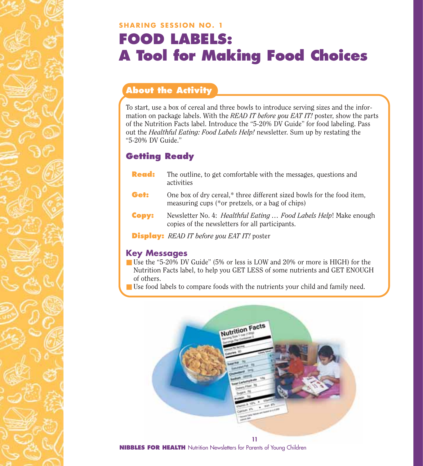### **SHARING SESSION NO. 1 FOOD LABELS: A Tool for Making Food Choices**

### **About the Activity**

To start, use a box of cereal and three bowls to introduce serving sizes and the information on package labels. With the *READ IT before you EAT IT!* poster, show the parts of the Nutrition Facts label. Introduce the "5-20% DV Guide" for food labeling. Pass out the *Healthful Eating: Food Labels Help!* newsletter. Sum up by restating the "5-20% DV Guide."

### **Getting Ready**

- **Read:** The outline, to get comfortable with the messages, questions and activities
- **Get:** One box of dry cereal,\* three different sized bowls for the food item, measuring cups (\*or pretzels, or a bag of chips)
- **Copy:** Newsletter No. 4: *Healthful Eating … Food Labels Help*! Make enough copies of the newsletters for all participants.

**Display:** *READ IT before you EAT IT!* poster

### **Key Messages**

- Use the "5-20% DV Guide" (5% or less is LOW and 20% or more is HIGH) for the Nutrition Facts label, to help you GET LESS of some nutrients and GET ENOUGH of others.
- Use food labels to compare foods with the nutrients your child and family need.

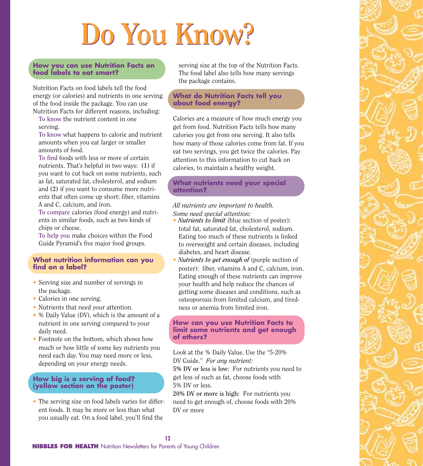# **Do You Know? Do You Know?**

### **How you can use Nutrition Facts on food labels to eat smart?**

Nutrition Facts on food labels tell the food energy (or calories) and nutrients in one serving of the food inside the package. You can use Nutrition Facts for different reasons, including:

**To know** the nutrient content in one serving.

**To know** what happens to calorie and nutrient amounts when you eat larger or smaller amounts of food.

**To find** foods with less or more of certain nutrients. That's helpful in two ways: **(1)** if you want to cut back on some nutrients, such as fat, saturated fat, cholesterol, and sodium and **(2)** if you want to consume more nutrients that often come up short: fiber, vitamins A and C, calcium, and iron.

**To compare** calories (food energy) and nutrients in similar foods, such as two kinds of chips or cheese.

**To help you** make choices within the Food Guide Pyramid's five major food groups.

### **What nutrition information can you find on a label?**

- Serving size and number of servings in the package.
- Calories in one serving.
- Nutrients that need your attention.
- % Daily Value (DV), which is the amount of a nutrient in one serving compared to your daily need.
- Footnote on the bottom, which shows how much or how little of some key nutrients you need each day. You may need more or less, depending on your energy needs.

### **How big is a serving of food? (yellow section on the poster)**

• The serving size on food labels varies for different foods. It may be more or less than what you usually eat. On a food label, you'll find the

serving size at the top of the Nutrition Facts. The food label also tells how many servings the package contains.

### **What do Nutrition Facts tell you about food energy?**

Calories are a measure of how much energy you get from food. Nutrition Facts tells how many calories you get from one serving. It also tells how many of those calories come from fat. If you eat two servings, you get twice the calories. Pay attention to this information to cut back on calories, to maintain a healthy weight.

### **What nutrients need your special attention?**

### *All nutrients are important to health. Some need special attention:*

- *Nutrients to limit* (blue section of poster): total fat, saturated fat, cholesterol, sodium. Eating too much of these nutrients is linked to overweight and certain diseases, including diabetes, and heart disease.
- *Nutrients to get enough of* (purple section of poster): fiber, vitamins A and C, calcium, iron. Eating enough of these nutrients can improve your health and help reduce the chances of getting some diseases and conditions, such as osteoporosis from limited calcium, and tiredness or anemia from limited iron.

### **How can you use Nutrition Facts to limit some nutrients and get enough of others?**

Look at the % Daily Value. Use the "5-20% DV Guide." *For any nutrient:* 

**5% DV or less is low:** For nutrients you need to get less of such as fat, choose foods with 5% DV or less.

**20% DV or more is high:** For nutrients you need to get enough of, choose foods with 20% DV or more

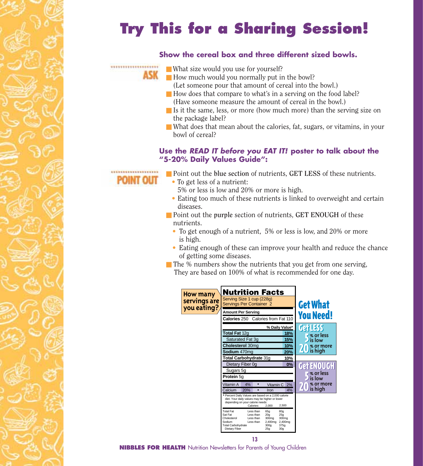## **Try This for a Sharing Session!**

### **Show the cereal box and three different sized bowls.**

- What size would you use for yourself?
- How much would you normally put in the bowl?
	- (Let someone pour that amount of cereal into the bowl.)
- How does that compare to what's in a serving on the food label? (Have someone measure the amount of cereal in the bowl.)
- Is it the same, less, or more (how much more) than the serving size on the package label?
- What does that mean about the calories, fat, sugars, or vitamins, in your bowl of cereal?

### **Use the** *READ IT before you EAT IT!* **poster to talk about the "5-20% Daily Values Guide":**



\*\*\*\*\*\*\*\*\*\*\*\*\*\*\*\*\*\*\*\*

ASK

- Point out the blue section of nutrients, **GET LESS** of these nutrients.
	- To get less of a nutrient:
		- 5% or less is low and 20% or more is high.
	- Eating too much of these nutrients is linked to overweight and certain diseases.
- Point out the purple section of nutrients, **GET ENOUGH** of these nutrients.
	- To get enough of a nutrient, 5% or less is low, and 20% or more is high.
	- Eating enough of these can improve your health and reduce the chance of getting some diseases.
- $\blacksquare$  The % numbers show the nutrients that you get from one serving, They are based on 100% of what is recommended for one day.

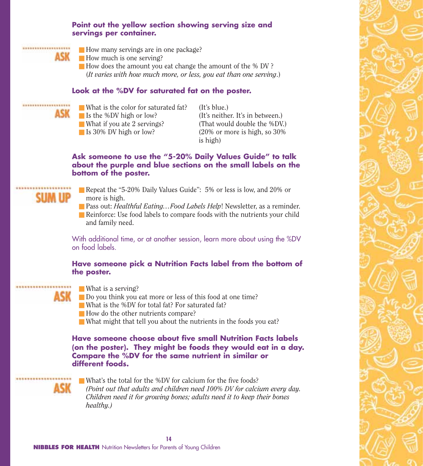### **Point out the yellow section showing serving size and servings per container.**



- How many servings are in one package?
- How much is one serving?
- How does the amount you eat change the amount of the % DV? (*It varies with how much more, or less, you eat than one serving*.)

### **Look at the %DV for saturated fat on the poster.**

- \*\*\*\*\*\*\*\*\*\*\*\*\*\*\*\*\*\*\*\*
- What is the color for saturated fat? (It's blue.)

**ASK** Is the %DV high or low? (It's neither. It's in between.) ■ What if you ate 2 servings? (That would double the %DV.) ■ Is 30% DV high or low? (20% or more is high, so 30%) is high)

### **Ask someone to use the "5-20% Daily Values Guide" to talk about the purple and blue sections on the small labels on the bottom of the poster.**

- 
- Repeat the "5-20% Daily Values Guide": 5% or less is low, and 20% or more is high.
- Pass out: *Healthful Eating...Food Labels Help*! Newsletter, as a reminder. ■ Reinforce: Use food labels to compare foods with the nutrients your child and family need.

With additional time, or at another session, learn more about using the %DV on food labels.

### **Have someone pick a Nutrition Facts label from the bottom of the poster.**

- What is a serving?
- Do you think you eat more or less of this food at one time?
- What is the %DV for total fat? For saturated fat?
- How do the other nutrients compare?
- What might that tell you about the nutrients in the foods you eat?

**Have someone choose about five small Nutrition Facts labels (on the poster). They might be foods they would eat in a day. Compare the %DV for the same nutrient in similar or different foods.**

■ What's the total for the %DV for calcium for the five foods? *(Point out that adults and children need 100% DV for calcium every day. Children need it for growing bones; adults need it to keep their bones healthy.)*